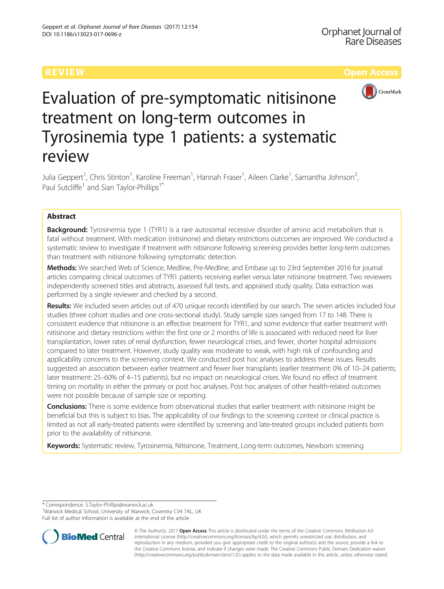

# Evaluation of pre-symptomatic nitisinone treatment on long-term outcomes in Tyrosinemia type 1 patients: a systematic review

Julia Geppert<sup>1</sup>, Chris Stinton<sup>1</sup>, Karoline Freeman<sup>1</sup>, Hannah Fraser<sup>1</sup>, Aileen Clarke<sup>1</sup>, Samantha Johnson<sup>2</sup> .<br>, Paul Sutcliffe<sup>1</sup> and Sian Taylor-Phillips<sup>1\*</sup>

# Abstract

**Background:** Tyrosinemia type 1 (TYR1) is a rare autosomal recessive disorder of amino acid metabolism that is fatal without treatment. With medication (nitisinone) and dietary restrictions outcomes are improved. We conducted a systematic review to investigate if treatment with nitisinone following screening provides better long-term outcomes than treatment with nitisinone following symptomatic detection.

Methods: We searched Web of Science, Medline, Pre-Medline, and Embase up to 23rd September 2016 for journal articles comparing clinical outcomes of TYR1 patients receiving earlier versus later nitisinone treatment. Two reviewers independently screened titles and abstracts, assessed full texts, and appraised study quality. Data extraction was performed by a single reviewer and checked by a second.

Results: We included seven articles out of 470 unique records identified by our search. The seven articles included four studies (three cohort studies and one cross-sectional study). Study sample sizes ranged from 17 to 148. There is consistent evidence that nitisinone is an effective treatment for TYR1, and some evidence that earlier treatment with nitisinone and dietary restrictions within the first one or 2 months of life is associated with reduced need for liver transplantation, lower rates of renal dysfunction, fewer neurological crises, and fewer, shorter hospital admissions compared to later treatment. However, study quality was moderate to weak, with high risk of confounding and applicability concerns to the screening context. We conducted post hoc analyses to address these issues. Results suggested an association between earlier treatment and fewer liver transplants (earlier treatment: 0% of 10–24 patients; later treatment: 25–60% of 4–15 patients), but no impact on neurological crises. We found no effect of treatment timing on mortality in either the primary or post hoc analyses. Post hoc analyses of other health-related outcomes were not possible because of sample size or reporting.

Conclusions: There is some evidence from observational studies that earlier treatment with nitisinone might be beneficial but this is subject to bias. The applicability of our findings to the screening context or clinical practice is limited as not all early-treated patients were identified by screening and late-treated groups included patients born prior to the availability of nitisinone.

Keywords: Systematic review, Tyrosinemia, Nitisinone, Treatment, Long-term outcomes, Newborn screening

\* Correspondence: [S.Taylor-Phillips@warwick.ac.uk](mailto:S.Taylor-Phillips@warwick.ac.uk) <sup>1</sup>

<sup>&</sup>lt;sup>1</sup>Warwick Medical School, University of Warwick, Coventry CV4 7AL, UK Full list of author information is available at the end of the article



<sup>©</sup> The Author(s). 2017 **Open Access** This article is distributed under the terms of the Creative Commons Attribution 4.0 International License [\(http://creativecommons.org/licenses/by/4.0/](http://creativecommons.org/licenses/by/4.0/)), which permits unrestricted use, distribution, and reproduction in any medium, provided you give appropriate credit to the original author(s) and the source, provide a link to the Creative Commons license, and indicate if changes were made. The Creative Commons Public Domain Dedication waiver [\(http://creativecommons.org/publicdomain/zero/1.0/](http://creativecommons.org/publicdomain/zero/1.0/)) applies to the data made available in this article, unless otherwise stated.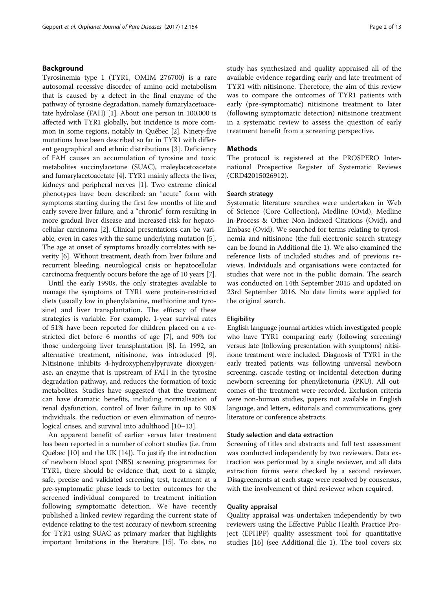# Background

Tyrosinemia type 1 (TYR1, OMIM 276700) is a rare autosomal recessive disorder of amino acid metabolism that is caused by a defect in the final enzyme of the pathway of tyrosine degradation, namely fumarylacetoacetate hydrolase (FAH) [\[1\]](#page-12-0). About one person in 100,000 is affected with TYR1 globally, but incidence is more common in some regions, notably in Québec [[2](#page-12-0)]. Ninety-five mutations have been described so far in TYR1 with different geographical and ethnic distributions [[3\]](#page-12-0). Deficiency of FAH causes an accumulation of tyrosine and toxic metabolites succinylacetone (SUAC), maleylacetoacetate and fumarylacetoacetate [\[4](#page-12-0)]. TYR1 mainly affects the liver, kidneys and peripheral nerves [[1](#page-12-0)]. Two extreme clinical phenotypes have been described: an "acute" form with symptoms starting during the first few months of life and early severe liver failure, and a "chronic" form resulting in more gradual liver disease and increased risk for hepatocellular carcinoma [[2](#page-12-0)]. Clinical presentations can be variable, even in cases with the same underlying mutation [[5](#page-12-0)]. The age at onset of symptoms broadly correlates with severity [\[6\]](#page-12-0). Without treatment, death from liver failure and recurrent bleeding, neurological crisis or hepatocellular carcinoma frequently occurs before the age of 10 years [\[7\]](#page-12-0).

Until the early 1990s, the only strategies available to manage the symptoms of TYR1 were protein-restricted diets (usually low in phenylalanine, methionine and tyrosine) and liver transplantation. The efficacy of these strategies is variable. For example, 1-year survival rates of 51% have been reported for children placed on a restricted diet before 6 months of age [\[7](#page-12-0)], and 90% for those undergoing liver transplantation [\[8](#page-12-0)]. In 1992, an alternative treatment, nitisinone, was introduced [\[9](#page-12-0)]. Nitisinone inhibits 4-hydroxyphenylpyruvate dioxygenase, an enzyme that is upstream of FAH in the tyrosine degradation pathway, and reduces the formation of toxic metabolites. Studies have suggested that the treatment can have dramatic benefits, including normalisation of renal dysfunction, control of liver failure in up to 90% individuals, the reduction or even elimination of neurological crises, and survival into adulthood [\[10](#page-12-0)–[13\]](#page-12-0).

An apparent benefit of earlier versus later treatment has been reported in a number of cohort studies (i.e. from Québec [[10](#page-12-0)] and the UK [[14](#page-12-0)]). To justify the introduction of newborn blood spot (NBS) screening programmes for TYR1, there should be evidence that, next to a simple, safe, precise and validated screening test, treatment at a pre-symptomatic phase leads to better outcomes for the screened individual compared to treatment initiation following symptomatic detection. We have recently published a linked review regarding the current state of evidence relating to the test accuracy of newborn screening for TYR1 using SUAC as primary marker that highlights important limitations in the literature [\[15](#page-12-0)]. To date, no

study has synthesized and quality appraised all of the available evidence regarding early and late treatment of TYR1 with nitisinone. Therefore, the aim of this review was to compare the outcomes of TYR1 patients with early (pre-symptomatic) nitisinone treatment to later (following symptomatic detection) nitisinone treatment in a systematic review to assess the question of early treatment benefit from a screening perspective.

# **Methods**

The protocol is registered at the PROSPERO International Prospective Register of Systematic Reviews (CRD42015026912).

# Search strategy

Systematic literature searches were undertaken in Web of Science (Core Collection), Medline (Ovid), Medline In-Process & Other Non-Indexed Citations (Ovid), and Embase (Ovid). We searched for terms relating to tyrosinemia and nitisinone (the full electronic search strategy can be found in Additional file [1\)](#page-11-0). We also examined the reference lists of included studies and of previous reviews. Individuals and organisations were contacted for studies that were not in the public domain. The search was conducted on 14th September 2015 and updated on 23rd September 2016. No date limits were applied for the original search.

### Eligibility

English language journal articles which investigated people who have TYR1 comparing early (following screening) versus late (following presentation with symptoms) nitisinone treatment were included. Diagnosis of TYR1 in the early treated patients was following universal newborn screening, cascade testing or incidental detection during newborn screening for phenylketonuria (PKU). All outcomes of the treatment were recorded. Exclusion criteria were non-human studies, papers not available in English language, and letters, editorials and communications, grey literature or conference abstracts.

### Study selection and data extraction

Screening of titles and abstracts and full text assessment was conducted independently by two reviewers. Data extraction was performed by a single reviewer, and all data extraction forms were checked by a second reviewer. Disagreements at each stage were resolved by consensus, with the involvement of third reviewer when required.

# Quality appraisal

Quality appraisal was undertaken independently by two reviewers using the Effective Public Health Practice Project (EPHPP) quality assessment tool for quantitative studies [\[16](#page-12-0)] (see Additional file [1\)](#page-11-0). The tool covers six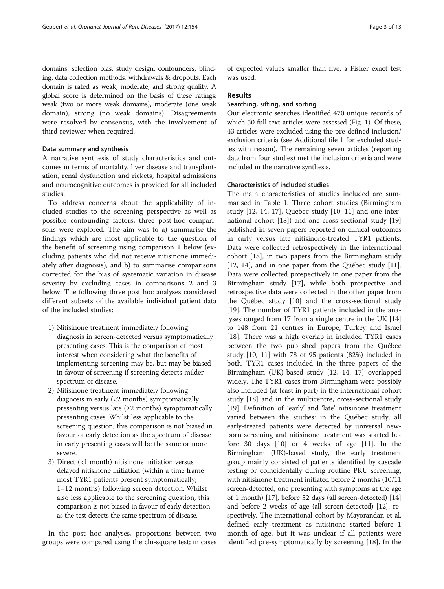domains: selection bias, study design, confounders, blinding, data collection methods, withdrawals & dropouts. Each domain is rated as weak, moderate, and strong quality. A global score is determined on the basis of these ratings: weak (two or more weak domains), moderate (one weak domain), strong (no weak domains). Disagreements were resolved by consensus, with the involvement of third reviewer when required.

# Data summary and synthesis

A narrative synthesis of study characteristics and outcomes in terms of mortality, liver disease and transplantation, renal dysfunction and rickets, hospital admissions and neurocognitive outcomes is provided for all included studies.

To address concerns about the applicability of included studies to the screening perspective as well as possible confounding factors, three post-hoc comparisons were explored. The aim was to a) summarise the findings which are most applicable to the question of the benefit of screening using comparison 1 below (excluding patients who did not receive nitisinone immediately after diagnosis), and b) to summarise comparisons corrected for the bias of systematic variation in disease severity by excluding cases in comparisons 2 and 3 below. The following three post hoc analyses considered different subsets of the available individual patient data of the included studies:

- 1) Nitisinone treatment immediately following diagnosis in screen-detected versus symptomatically presenting cases. This is the comparison of most interest when considering what the benefits of implementing screening may be, but may be biased in favour of screening if screening detects milder spectrum of disease.
- 2) Nitisinone treatment immediately following diagnosis in early (<2 months) symptomatically presenting versus late  $(\geq 2 \text{ months})$  symptomatically presenting cases. Whilst less applicable to the screening question, this comparison is not biased in favour of early detection as the spectrum of disease in early presenting cases will be the same or more severe.
- 3) Direct (<1 month) nitisinone initiation versus delayed nitisinone initiation (within a time frame most TYR1 patients present symptomatically; 1–12 months) following screen detection. Whilst also less applicable to the screening question, this comparison is not biased in favour of early detection as the test detects the same spectrum of disease.

In the post hoc analyses, proportions between two groups were compared using the chi-square test; in cases

of expected values smaller than five, a Fisher exact test was used.

# Results

# Searching, sifting, and sorting

Our electronic searches identified 470 unique records of which 50 full text articles were assessed (Fig. [1](#page-3-0)). Of these, 43 articles were excluded using the pre-defined inclusion/ exclusion criteria (see Additional file [1](#page-11-0) for excluded studies with reason). The remaining seven articles (reporting data from four studies) met the inclusion criteria and were included in the narrative synthesis.

# Characteristics of included studies

The main characteristics of studies included are summarised in Table [1](#page-4-0). Three cohort studies (Birmingham study [\[12](#page-12-0), [14, 17](#page-12-0)], Québec study [[10, 11](#page-12-0)] and one international cohort [\[18](#page-12-0)]) and one cross-sectional study [[19](#page-12-0)] published in seven papers reported on clinical outcomes in early versus late nitisinone-treated TYR1 patients. Data were collected retrospectively in the international cohort [[18\]](#page-12-0), in two papers from the Birmingham study [[12, 14\]](#page-12-0), and in one paper from the Québec study [\[11](#page-12-0)]. Data were collected prospectively in one paper from the Birmingham study [\[17](#page-12-0)], while both prospective and retrospective data were collected in the other paper from the Québec study [[10\]](#page-12-0) and the cross-sectional study [[19\]](#page-12-0). The number of TYR1 patients included in the analyses ranged from 17 from a single centre in the UK [[14](#page-12-0)] to 148 from 21 centres in Europe, Turkey and Israel [[18\]](#page-12-0). There was a high overlap in included TYR1 cases between the two published papers from the Québec study [[10, 11\]](#page-12-0) with 78 of 95 patients (82%) included in both. TYR1 cases included in the three papers of the Birmingham (UK)-based study [\[12, 14, 17\]](#page-12-0) overlapped widely. The TYR1 cases from Birmingham were possibly also included (at least in part) in the international cohort study [[18\]](#page-12-0) and in the multicentre, cross-sectional study [[19\]](#page-12-0). Definition of 'early' and 'late' nitisinone treatment varied between the studies: in the Québec study, all early-treated patients were detected by universal newborn screening and nitisinone treatment was started before 30 days [[10\]](#page-12-0) or 4 weeks of age [\[11](#page-12-0)]. In the Birmingham (UK)-based study, the early treatment group mainly consisted of patients identified by cascade testing or coincidentally during routine PKU screening, with nitisinone treatment initiated before 2 months (10/11 screen-detected, one presenting with symptoms at the age of 1 month) [\[17](#page-12-0)], before 52 days (all screen-detected) [[14](#page-12-0)] and before 2 weeks of age (all screen-detected) [\[12\]](#page-12-0), respectively. The international cohort by Mayorandan et al. defined early treatment as nitisinone started before 1 month of age, but it was unclear if all patients were identified pre-symptomatically by screening [[18\]](#page-12-0). In the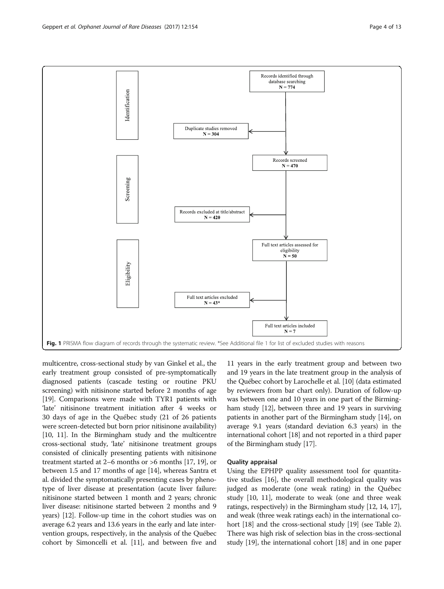<span id="page-3-0"></span>

multicentre, cross-sectional study by van Ginkel et al., the early treatment group consisted of pre-symptomatically diagnosed patients (cascade testing or routine PKU screening) with nitisinone started before 2 months of age [[19](#page-12-0)]. Comparisons were made with TYR1 patients with 'late' nitisinone treatment initiation after 4 weeks or 30 days of age in the Québec study (21 of 26 patients were screen-detected but born prior nitisinone availability) [[10](#page-12-0), [11\]](#page-12-0). In the Birmingham study and the multicentre cross-sectional study, 'late' nitisinone treatment groups consisted of clinically presenting patients with nitisinone treatment started at 2–6 months or >6 months [\[17, 19\]](#page-12-0), or between 1.5 and 17 months of age [\[14](#page-12-0)], whereas Santra et al. divided the symptomatically presenting cases by phenotype of liver disease at presentation (acute liver failure: nitisinone started between 1 month and 2 years; chronic liver disease: nitisinone started between 2 months and 9 years) [[12](#page-12-0)]. Follow-up time in the cohort studies was on average 6.2 years and 13.6 years in the early and late intervention groups, respectively, in the analysis of the Québec cohort by Simoncelli et al. [[11](#page-12-0)], and between five and

11 years in the early treatment group and between two and 19 years in the late treatment group in the analysis of the Québec cohort by Larochelle et al. [\[10\]](#page-12-0) (data estimated by reviewers from bar chart only). Duration of follow-up was between one and 10 years in one part of the Birmingham study [[12](#page-12-0)], between three and 19 years in surviving patients in another part of the Birmingham study [\[14\]](#page-12-0), on average 9.1 years (standard deviation 6.3 years) in the international cohort [\[18\]](#page-12-0) and not reported in a third paper of the Birmingham study [\[17\]](#page-12-0).

# Quality appraisal

Using the EPHPP quality assessment tool for quantitative studies [\[16](#page-12-0)], the overall methodological quality was judged as moderate (one weak rating) in the Québec study [\[10, 11](#page-12-0)], moderate to weak (one and three weak ratings, respectively) in the Birmingham study [[12](#page-12-0), [14, 17](#page-12-0)], and weak (three weak ratings each) in the international cohort [\[18\]](#page-12-0) and the cross-sectional study [\[19\]](#page-12-0) (see Table [2](#page-6-0)). There was high risk of selection bias in the cross-sectional study [\[19](#page-12-0)], the international cohort [\[18\]](#page-12-0) and in one paper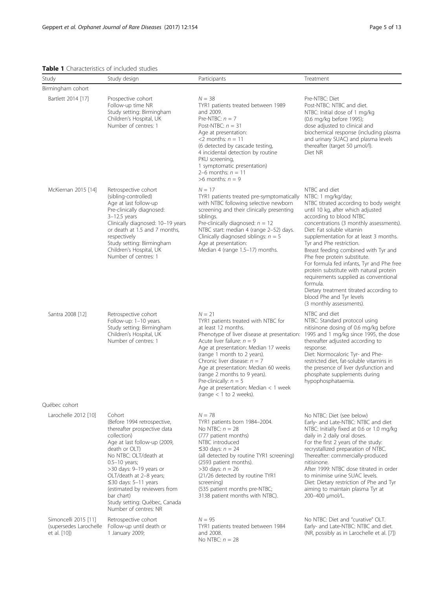<span id="page-4-0"></span>Table 1 Characteristics of included studies

| Study                                                          | Study design                                                                                                                                                                                                                                                                                                                                                                 | Participants                                                                                                                                                                                                                                                                                                                                                                                                                             | Treatment                                                                                                                                                                                                                                                                                                                                                                                                                                                                                                                                                                                                           |
|----------------------------------------------------------------|------------------------------------------------------------------------------------------------------------------------------------------------------------------------------------------------------------------------------------------------------------------------------------------------------------------------------------------------------------------------------|------------------------------------------------------------------------------------------------------------------------------------------------------------------------------------------------------------------------------------------------------------------------------------------------------------------------------------------------------------------------------------------------------------------------------------------|---------------------------------------------------------------------------------------------------------------------------------------------------------------------------------------------------------------------------------------------------------------------------------------------------------------------------------------------------------------------------------------------------------------------------------------------------------------------------------------------------------------------------------------------------------------------------------------------------------------------|
| Birmingham cohort                                              |                                                                                                                                                                                                                                                                                                                                                                              |                                                                                                                                                                                                                                                                                                                                                                                                                                          |                                                                                                                                                                                                                                                                                                                                                                                                                                                                                                                                                                                                                     |
| Bartlett 2014 [17]                                             | Prospective cohort<br>Follow-up time NR<br>Study setting: Birmingham<br>Children's Hospital, UK<br>Number of centres: 1                                                                                                                                                                                                                                                      | $N = 38$<br>TYR1 patients treated between 1989<br>and 2009.<br>Pre-NTBC: $n = 7$<br>Post-NTBC: $n = 31$<br>Age at presentation:<br><2 months: $n = 11$<br>(6 detected by cascade testing,<br>4 incidental detection by routine<br>PKU screening,<br>1 symptomatic presentation)<br>2–6 months: $n = 11$<br>$>6$ months: $n = 9$                                                                                                          | Pre-NTBC: Diet<br>Post-NTBC: NTBC and diet.<br>NTBC: Initial dose of 1 mg/kg<br>(0.6 mg/kg before 1995);<br>dose adjusted to clinical and<br>biochemical response (including plasma<br>and urinary SUAC) and plasma levels<br>thereafter (target 50 µmol/l).<br>Diet NR                                                                                                                                                                                                                                                                                                                                             |
| McKiernan 2015 [14]                                            | Retrospective cohort<br>(sibling-controlled)<br>Age at last follow-up<br>Pre-clinically diagnosed:<br>$3-12.5$ years<br>Clinically diagnosed: 10-19 years<br>or death at 1.5 and 7 months,<br>respectively<br>Study setting: Birmingham<br>Children's Hospital, UK<br>Number of centres: 1                                                                                   | $N = 17$<br>TYR1 patients treated pre-symptomatically<br>with NTBC following selective newborn<br>screening and their clinically presenting<br>siblings.<br>Pre-clinically diagnosed: $n = 12$<br>NTBC start: median 4 (range 2-52) days.<br>Clinically diagnosed siblings: $n = 5$<br>Age at presentation:<br>Median 4 (range 1.5-17) months.                                                                                           | NTBC and diet<br>NTBC: 1 mg/kg/day;<br>NTBC titrated according to body weight<br>until 10 kg, after which adjusted<br>according to blood NTBC<br>concentrations (3 monthly assessments).<br>Diet: Fat soluble vitamin<br>supplementation for at least 3 months.<br>Tyr and Phe restriction.<br>Breast feeding combined with Tyr and<br>Phe free protein substitute.<br>For formula fed infants, Tyr and Phe free<br>protein substitute with natural protein<br>requirements supplied as conventional<br>formula.<br>Dietary treatment titrated according to<br>blood Phe and Tyr levels<br>(3 monthly assessments). |
| Santra 2008 [12]                                               | Retrospective cohort<br>Follow-up: 1-10 years.<br>Study setting: Birmingham<br>Children's Hospital, UK<br>Number of centres: 1                                                                                                                                                                                                                                               | $N = 21$<br>TYR1 patients treated with NTBC for<br>at least 12 months.<br>Phenotype of liver disease at presentation:<br>Acute liver failure: $n = 9$<br>Age at presentation: Median 17 weeks<br>(range 1 month to 2 years).<br>Chronic liver disease: $n = 7$<br>Age at presentation: Median 60 weeks<br>(range 2 months to 9 years).<br>Pre-clinically: $n = 5$<br>Age at presentation: Median $<$ 1 week<br>(range $<$ 1 to 2 weeks). | NTBC and diet<br>NTBC: Standard protocol using<br>nitisinone dosing of 0.6 mg/kg before<br>1995 and 1 mg/kg since 1995, the dose<br>thereafter adjusted according to<br>response.<br>Diet: Normocaloric Tyr- and Phe-<br>restricted diet, fat-soluble vitamins in<br>the presence of liver dysfunction and<br>phosphate supplements during<br>hypophosphataemia.                                                                                                                                                                                                                                                    |
| Québec cohort                                                  |                                                                                                                                                                                                                                                                                                                                                                              |                                                                                                                                                                                                                                                                                                                                                                                                                                          |                                                                                                                                                                                                                                                                                                                                                                                                                                                                                                                                                                                                                     |
| Larochelle 2012 [10]                                           | Cohort<br>(Before 1994 retrospective,<br>thereafter prospective data<br>collection)<br>Age at last follow-up (2009,<br>death or OLT)<br>No NTBC: OLT/death at<br>$0.5-10$ years;<br>>30 days: 9-19 years or<br>OLT/death at 2-8 years;<br>$\leq$ 30 days: 5-11 years<br>(estimated by reviewers from<br>bar chart)<br>Study setting: Québec, Canada<br>Number of centres: NR | $N = 78$<br>TYR1 patients born 1984-2004.<br>No NTBC: $n = 28$<br>(777 patient months)<br>NTBC introduced<br>$\leq$ 30 days: $n = 24$<br>(all detected by routine TYR1 screening)<br>(2593 patient months).<br>>30 days: $n = 26$<br>(21/26 detected by routine TYR1<br>screening)<br>(535 patient months pre-NTBC;<br>3138 patient months with NTBC).                                                                                   | No NTBC: Diet (see below)<br>Early- and Late-NTBC: NTBC and diet<br>NTBC: Initially fixed at 0.6 or 1.0 mg/kg<br>daily in 2 daily oral doses.<br>For the first 2 years of the study:<br>recrystallized preparation of NTBC.<br>Thereafter: commercially-produced<br>nitisinone.<br>After 1999: NTBC dose titrated in order<br>to minimise urine SUAC levels.<br>Diet: Dietary restriction of Phe and Tyr<br>aiming to maintain plasma Tyr at<br>200-400 µmol/L.                                                                                                                                                     |
| Simoncelli 2015 [11]<br>(supersedes Larochelle<br>et al. [10]) | Retrospective cohort<br>Follow-up until death or<br>1 January 2009;                                                                                                                                                                                                                                                                                                          | $N = 95$<br>TYR1 patients treated between 1984<br>and 2008.<br>No NTBC: $n = 28$                                                                                                                                                                                                                                                                                                                                                         | No NTBC: Diet and "curative" OLT.<br>Early- and Late-NTBC: NTBC and diet.<br>(NR, possibly as in Larochelle et al. [7])                                                                                                                                                                                                                                                                                                                                                                                                                                                                                             |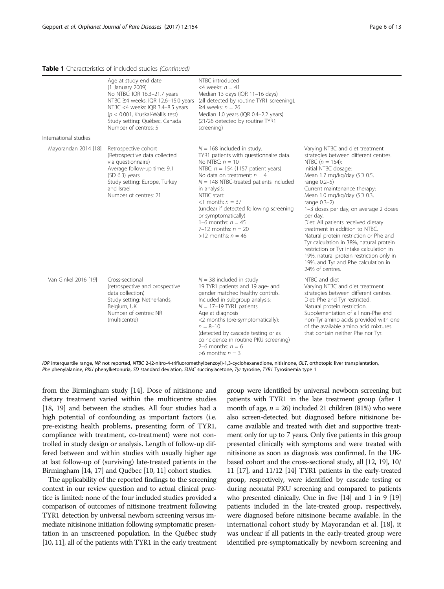#### Table 1 Characteristics of included studies (Continued)

|                       | Age at study end date<br>(1 January 2009)<br>No NTBC: IQR 16.3-21.7 years<br>NTBC ≥4 weeks: IQR 12.6-15.0 years<br>NTBC <4 weeks: IQR 3.4-8.5 years<br>( $p < 0.001$ , Kruskal-Wallis test)<br>Study setting: Québec, Canada<br>Number of centres: 5 | NTBC introduced<br><4 weeks: $n = 41$<br>Median 13 days (IQR 11-16 days)<br>(all detected by routine TYR1 screening).<br>$≥4$ weeks: $n = 26$<br>Median 1.0 years (IQR 0.4-2.2 years)<br>(21/26 detected by routine TYR1<br>screening)                                                                                                                                                                              |                                                                                                                                                                                                                                                                                                                                                                                                                                                                                                                                                                                                                                 |
|-----------------------|------------------------------------------------------------------------------------------------------------------------------------------------------------------------------------------------------------------------------------------------------|---------------------------------------------------------------------------------------------------------------------------------------------------------------------------------------------------------------------------------------------------------------------------------------------------------------------------------------------------------------------------------------------------------------------|---------------------------------------------------------------------------------------------------------------------------------------------------------------------------------------------------------------------------------------------------------------------------------------------------------------------------------------------------------------------------------------------------------------------------------------------------------------------------------------------------------------------------------------------------------------------------------------------------------------------------------|
| International studies |                                                                                                                                                                                                                                                      |                                                                                                                                                                                                                                                                                                                                                                                                                     |                                                                                                                                                                                                                                                                                                                                                                                                                                                                                                                                                                                                                                 |
| Mayorandan 2014 [18]  | Retrospective cohort<br>(Retrospective data collected<br>via questionnaire)<br>Average follow-up time: 9.1<br>$(SD 6.3)$ years.<br>Study setting: Europe, Turkey<br>and Israel.<br>Number of centres: 21                                             | $N = 168$ included in study.<br>TYR1 patients with questionnaire data.<br>No NTBC: $n = 10$<br>NTBC: $n = 154$ (1157 patient years)<br>No data on treatment: $n = 4$<br>$N = 148$ NTBC-treated patients included<br>in analysis:<br>NTBC start:<br><1 month: $n = 37$<br>(unclear if detected following screening<br>or symptomatically)<br>1–6 months: $n = 45$<br>7–12 months: $n = 20$<br>$>12$ months: $n = 46$ | Varying NTBC and diet treatment<br>strategies between different centres.<br>NTBC $(n = 154)$ :<br>Initial NTBC dosage:<br>Mean 1.7 mg/kg/day (SD 0.5,<br>range $0.2-5$ )<br>Current maintenance therapy:<br>Mean 1.0 mg/kg/day (SD 0.3,<br>range $0.3-2$ )<br>1-3 doses per day, on average 2 doses<br>per day.<br>Diet: All patients received dietary<br>treatment in addition to NTBC.<br>Natural protein restriction or Phe and<br>Tyr calculation in 38%, natural protein<br>restriction or Tyr intake calculation in<br>19%, natural protein restriction only in<br>19%, and Tyr and Phe calculation in<br>24% of centres. |
| Van Ginkel 2016 [19]  | Cross-sectional<br>(retrospective and prospective<br>data collection)<br>Study setting: Netherlands,<br>Belgium, UK<br>Number of centres: NR<br>(multicentre)                                                                                        | $N = 38$ included in study<br>19 TYR1 patients and 19 age- and<br>gender matched healthy controls.<br>Included in subgroup analysis:<br>$N = 17-19$ TYR1 patients<br>Age at diagnosis<br><2 months (pre-symptomatically):<br>$n = 8 - 10$<br>(detected by cascade testing or as<br>coincidence in routine PKU screening)<br>2–6 months: $n = 6$<br>$>6$ months: $n = 3$                                             | NTBC and diet<br>Varying NTBC and diet treatment<br>strategies between different centres.<br>Diet: Phe and Tyr restricted.<br>Natural protein restriction.<br>Supplementation of all non-Phe and<br>non-Tyr amino acids provided with one<br>of the available amino acid mixtures<br>that contain neither Phe nor Tyr.                                                                                                                                                                                                                                                                                                          |

IQR interquartile range, NR not reported, NTBC 2-(2-nitro-4-trifluoromethylbenzoyl)-1,3-cyclohexanedione, nitisinone, OLT, orthotopic liver transplantation, Phe phenylalanine, PKU phenylketonuria, SD standard deviation, SUAC succinylacetone, Tyr tyrosine, TYR1 Tyrosinemia type 1

from the Birmingham study [\[14\]](#page-12-0). Dose of nitisinone and dietary treatment varied within the multicentre studies [[18](#page-12-0), [19](#page-12-0)] and between the studies. All four studies had a high potential of confounding as important factors (i.e. pre-existing health problems, presenting form of TYR1, compliance with treatment, co-treatment) were not controlled in study design or analysis. Length of follow-up differed between and within studies with usually higher age at last follow-up of (surviving) late-treated patients in the Birmingham [\[14, 17](#page-12-0)] and Québec [[10](#page-12-0), [11\]](#page-12-0) cohort studies.

The applicability of the reported findings to the screening context in our review question and to actual clinical practice is limited: none of the four included studies provided a comparison of outcomes of nitisinone treatment following TYR1 detection by universal newborn screening versus immediate nitisinone initiation following symptomatic presentation in an unscreened population. In the Québec study [[10](#page-12-0), [11](#page-12-0)], all of the patients with TYR1 in the early treatment group were identified by universal newborn screening but patients with TYR1 in the late treatment group (after 1 month of age,  $n = 26$ ) included 21 children (81%) who were also screen-detected but diagnosed before nitisinone became available and treated with diet and supportive treatment only for up to 7 years. Only five patients in this group presented clinically with symptoms and were treated with nitisinone as soon as diagnosis was confirmed. In the UKbased cohort and the cross-sectional study, all [[12, 19](#page-12-0)], 10/ 11 [[17](#page-12-0)], and 11/12 [[14\]](#page-12-0) TYR1 patients in the early-treated group, respectively, were identified by cascade testing or during neonatal PKU screening and compared to patients who presented clinically. One in five [[14](#page-12-0)] and 1 in 9 [\[19](#page-12-0)] patients included in the late-treated group, respectively, were diagnosed before nitisinone became available. In the international cohort study by Mayorandan et al. [[18\]](#page-12-0), it was unclear if all patients in the early-treated group were identified pre-symptomatically by newborn screening and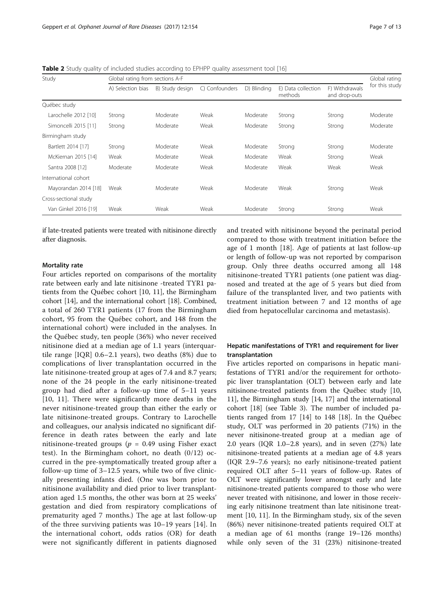<span id="page-6-0"></span>**Table 2** Study quality of included studies according to EPHPP quality assessment tool [[16](#page-12-0)]

| Study                 | Global rating from sections A-F |                 |                           |             |                               | Global rating                   |                |
|-----------------------|---------------------------------|-----------------|---------------------------|-------------|-------------------------------|---------------------------------|----------------|
|                       | A) Selection bias               | B) Study design | Confounders<br>$\bigcirc$ | D) Blinding | E) Data collection<br>methods | F) Withdrawals<br>and drop-outs | for this study |
| Québec study          |                                 |                 |                           |             |                               |                                 |                |
| Larochelle 2012 [10]  | Strong                          | Moderate        | Weak                      | Moderate    | Strong                        | Strong                          | Moderate       |
| Simoncelli 2015 [11]  | Strong                          | Moderate        | Weak                      | Moderate    | Strong                        | Strong                          | Moderate       |
| Birmingham study      |                                 |                 |                           |             |                               |                                 |                |
| Bartlett 2014 [17]    | Strong                          | Moderate        | Weak                      | Moderate    | Strong                        | Strong                          | Moderate       |
| McKiernan 2015 [14]   | Weak                            | Moderate        | Weak                      | Moderate    | Weak                          | Strong                          | Weak           |
| Santra 2008 [12]      | Moderate                        | Moderate        | Weak                      | Moderate    | Weak                          | Weak                            | Weak           |
| International cohort  |                                 |                 |                           |             |                               |                                 |                |
| Mayorandan 2014 [18]  | Weak                            | Moderate        | Weak                      | Moderate    | Weak                          | Strong                          | Weak           |
| Cross-sectional study |                                 |                 |                           |             |                               |                                 |                |
| Van Ginkel 2016 [19]  | Weak                            | Weak            | Weak                      | Moderate    | Strong                        | Strong                          | Weak           |

if late-treated patients were treated with nitisinone directly after diagnosis.

# Mortality rate

Four articles reported on comparisons of the mortality rate between early and late nitisinone -treated TYR1 patients from the Québec cohort [[10, 11\]](#page-12-0), the Birmingham cohort [\[14](#page-12-0)], and the international cohort [\[18](#page-12-0)]. Combined, a total of 260 TYR1 patients (17 from the Birmingham cohort, 95 from the Québec cohort, and 148 from the international cohort) were included in the analyses. In the Québec study, ten people (36%) who never received nitisinone died at a median age of 1.1 years (interquartile range [IQR] 0.6–2.1 years), two deaths (8%) due to complications of liver transplantation occurred in the late nitisinone-treated group at ages of 7.4 and 8.7 years; none of the 24 people in the early nitisinone-treated group had died after a follow-up time of 5–11 years [[10, 11](#page-12-0)]. There were significantly more deaths in the never nitisinone-treated group than either the early or late nitisinone-treated groups. Contrary to Larochelle and colleagues, our analysis indicated no significant difference in death rates between the early and late nitisinone-treated groups ( $p = 0.49$  using Fisher exact test). In the Birmingham cohort, no death (0/12) occurred in the pre-symptomatically treated group after a follow-up time of 3–12.5 years, while two of five clinically presenting infants died. (One was born prior to nitisinone availability and died prior to liver transplantation aged 1.5 months, the other was born at 25 weeks' gestation and died from respiratory complications of prematurity aged 7 months.) The age at last follow-up of the three surviving patients was 10–19 years [[14\]](#page-12-0). In the international cohort, odds ratios (OR) for death were not significantly different in patients diagnosed

and treated with nitisinone beyond the perinatal period compared to those with treatment initiation before the age of 1 month [[18\]](#page-12-0). Age of patients at last follow-up or length of follow-up was not reported by comparison group. Only three deaths occurred among all 148 nitisinone-treated TYR1 patients (one patient was diagnosed and treated at the age of 5 years but died from failure of the transplanted liver, and two patients with treatment initiation between 7 and 12 months of age died from hepatocellular carcinoma and metastasis).

# Hepatic manifestations of TYR1 and requirement for liver transplantation

Five articles reported on comparisons in hepatic manifestations of TYR1 and/or the requirement for orthotopic liver transplantation (OLT) between early and late nitisinone-treated patients from the Québec study [[10](#page-12-0), [11\]](#page-12-0), the Birmingham study [\[14, 17\]](#page-12-0) and the international cohort [\[18\]](#page-12-0) (see Table [3](#page-8-0)). The number of included patients ranged from 17 [\[14](#page-12-0)] to 148 [\[18](#page-12-0)]. In the Québec study, OLT was performed in 20 patients (71%) in the never nitisinone-treated group at a median age of 2.0 years (IQR 1.0–2.8 years), and in seven (27%) late nitisinone-treated patients at a median age of 4.8 years (IQR 2.9–7.6 years); no early nitisinone-treated patient required OLT after 5–11 years of follow-up. Rates of OLT were significantly lower amongst early and late nitisinone-treated patients compared to those who were never treated with nitisinone, and lower in those receiving early nitisinone treatment than late nitisinone treatment [\[10, 11](#page-12-0)]. In the Birmingham study, six of the seven (86%) never nitisinone-treated patients required OLT at a median age of 61 months (range 19–126 months) while only seven of the 31 (23%) nitisinone-treated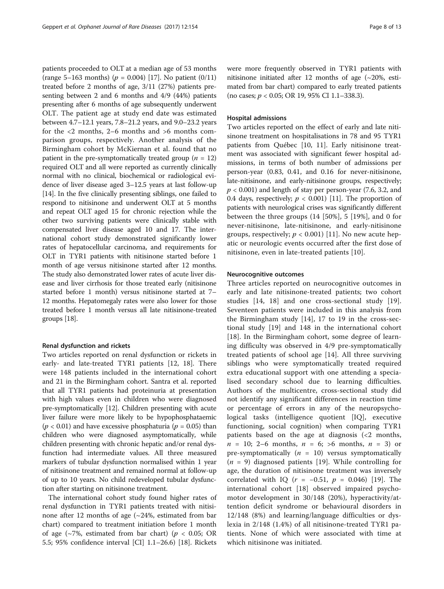patients proceeded to OLT at a median age of 53 months (range 5–163 months) ( $p = 0.004$ ) [[17](#page-12-0)]. No patient (0/11) treated before 2 months of age, 3/11 (27%) patients presenting between 2 and 6 months and 4/9 (44%) patients presenting after 6 months of age subsequently underwent OLT. The patient age at study end date was estimated between 4.7–12.1 years, 7.8–21.2 years, and 9.0–23.2 years for the <2 months, 2–6 months and >6 months comparison groups, respectively. Another analysis of the Birmingham cohort by McKiernan et al. found that no patient in the pre-symptomatically treated group ( $n = 12$ ) required OLT and all were reported as currently clinically normal with no clinical, biochemical or radiological evidence of liver disease aged 3–12.5 years at last follow-up [[14](#page-12-0)]. In the five clinically presenting siblings, one failed to respond to nitisinone and underwent OLT at 5 months and repeat OLT aged 15 for chronic rejection while the other two surviving patients were clinically stable with compensated liver disease aged 10 and 17. The international cohort study demonstrated significantly lower rates of hepatocellular carcinoma, and requirements for OLT in TYR1 patients with nitisinone started before 1 month of age versus nitisinone started after 12 months. The study also demonstrated lower rates of acute liver disease and liver cirrhosis for those treated early (nitisinone started before 1 month) versus nitisinone started at 7– 12 months. Hepatomegaly rates were also lower for those treated before 1 month versus all late nitisinone-treated groups [[18](#page-12-0)].

# Renal dysfunction and rickets

Two articles reported on renal dysfunction or rickets in early- and late-treated TYR1 patients [\[12, 18](#page-12-0)]. There were 148 patients included in the international cohort and 21 in the Birmingham cohort. Santra et al. reported that all TYR1 patients had proteinuria at presentation with high values even in children who were diagnosed pre-symptomatically [\[12\]](#page-12-0). Children presenting with acute liver failure were more likely to be hypophosphataemic  $(p < 0.01)$  and have excessive phosphaturia  $(p = 0.05)$  than children who were diagnosed asymptomatically, while children presenting with chronic hepatic and/or renal dysfunction had intermediate values. All three measured markers of tubular dysfunction normalised within 1 year of nitisinone treatment and remained normal at follow-up of up to 10 years. No child redeveloped tubular dysfunction after starting on nitisinone treatment.

The international cohort study found higher rates of renal dysfunction in TYR1 patients treated with nitisinone after 12 months of age  $(\sim 24\%$ , estimated from bar chart) compared to treatment initiation before 1 month of age ( $\sim$ 7%, estimated from bar chart) ( $p < 0.05$ ; OR 5.5; 95% confidence interval [CI] 1.1–26.6) [\[18](#page-12-0)]. Rickets were more frequently observed in TYR1 patients with nitisinone initiated after 12 months of age  $(\sim 20\% , \text{ esti-}$ mated from bar chart) compared to early treated patients (no cases; p < 0.05; OR 19, 95% CI 1.1–338.3).

#### Hospital admissions

Two articles reported on the effect of early and late nitisinone treatment on hospitalisations in 78 and 95 TYR1 patients from Québec [\[10, 11](#page-12-0)]. Early nitisinone treatment was associated with significant fewer hospital admissions, in terms of both number of admissions per person-year (0.83, 0.41, and 0.16 for never-nitisinone, late-nitisinone, and early-nitisinone groups, respectively;  $p < 0.001$ ) and length of stay per person-year (7.6, 3.2, and 0.4 days, respectively;  $p < 0.001$ ) [\[11\]](#page-12-0). The proportion of patients with neurological crises was significantly different between the three groups (14 [50%], 5 [19%], and 0 for never-nitisinone, late-nitisinone, and early-nitisinone groups, respectively;  $p < 0.001$ ) [[11\]](#page-12-0). No new acute hepatic or neurologic events occurred after the first dose of nitisinone, even in late-treated patients [\[10](#page-12-0)].

#### Neurocognitive outcomes

Three articles reported on neurocognitive outcomes in early and late nitisinone-treated patients; two cohort studies [[14, 18](#page-12-0)] and one cross-sectional study [\[19](#page-12-0)]. Seventeen patients were included in this analysis from the Birmingham study [\[14](#page-12-0)], 17 to 19 in the cross-sectional study [[19\]](#page-12-0) and 148 in the international cohort [[18\]](#page-12-0). In the Birmingham cohort, some degree of learning difficulty was observed in 4/9 pre-symptomatically treated patients of school age [[14](#page-12-0)]. All three surviving siblings who were symptomatically treated required extra educational support with one attending a specialised secondary school due to learning difficulties. Authors of the multicentre, cross-sectional study did not identify any significant differences in reaction time or percentage of errors in any of the neuropsychological tasks (intelligence quotient [IQ], executive functioning, social cognition) when comparing TYR1 patients based on the age at diagnosis  $\langle$  2 months,  $n = 10$ ; 2–6 months,  $n = 6$ ; >6 months,  $n = 3$  or pre-symptomatically  $(n = 10)$  versus symptomatically  $(n = 9)$  diagnosed patients [\[19](#page-12-0)]. While controlling for age, the duration of nitisinone treatment was inversely correlated with IQ ( $r = -0.51$ ,  $p = 0.046$ ) [\[19](#page-12-0)]. The international cohort [[18\]](#page-12-0) observed impaired psychomotor development in 30/148 (20%), hyperactivity/attention deficit syndrome or behavioural disorders in 12/148 (8%) and learning/language difficulties or dyslexia in 2/148 (1.4%) of all nitisinone-treated TYR1 patients. None of which were associated with time at which nitisinone was initiated.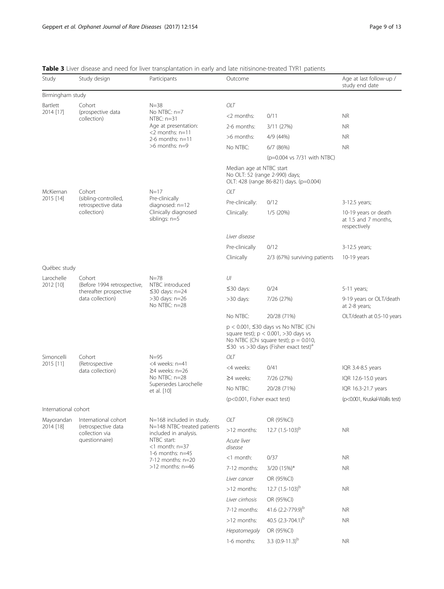| Study                                      | Study design                                            | Participants                                                                                                           | Outcome                      |                                                                                                                                                                                               | Age at last follow-up /<br>study end date                    |
|--------------------------------------------|---------------------------------------------------------|------------------------------------------------------------------------------------------------------------------------|------------------------------|-----------------------------------------------------------------------------------------------------------------------------------------------------------------------------------------------|--------------------------------------------------------------|
| Birmingham study                           |                                                         |                                                                                                                        |                              |                                                                                                                                                                                               |                                                              |
| Bartlett                                   | Cohort                                                  | $N = 38$                                                                                                               | OLT                          |                                                                                                                                                                                               |                                                              |
| 2014 [17]                                  | (prospective data<br>collection)                        | No NTBC: n=7<br>$NTBC: n=31$                                                                                           | $<$ 2 months:                | 0/11                                                                                                                                                                                          | <b>NR</b>                                                    |
|                                            |                                                         | Age at presentation:                                                                                                   | 2-6 months:                  | 3/11 (27%)                                                                                                                                                                                    | NR.                                                          |
|                                            |                                                         | $<$ 2 months: $n=11$<br>2-6 months: $n=11$                                                                             | >6 months:                   | 4/9 (44%)                                                                                                                                                                                     | NR.                                                          |
|                                            |                                                         | >6 months: n=9                                                                                                         | No NTBC:                     | $6/7$ (86%)                                                                                                                                                                                   | NR.                                                          |
|                                            |                                                         |                                                                                                                        |                              | (p=0.004 vs 7/31 with NTBC)                                                                                                                                                                   |                                                              |
|                                            |                                                         |                                                                                                                        | Median age at NTBC start     | No OLT: 52 (range 2-990) days;<br>OLT: 428 (range 86-821) days. (p=0.004)                                                                                                                     |                                                              |
| McKiernan                                  | Cohort                                                  | $N = 17$                                                                                                               | OLT                          |                                                                                                                                                                                               |                                                              |
| 2015 [14]                                  | (sibling-controlled,<br>retrospective data              | Pre-clinically                                                                                                         | Pre-clinically:              | 0/12                                                                                                                                                                                          | 3-12.5 years;                                                |
|                                            | collection)                                             | diagnosed: n=12<br>Clinically diagnosed<br>siblings: n=5                                                               | Clinically:                  | 1/5(20%)                                                                                                                                                                                      | 10-19 years or death<br>at 1.5 and 7 months,<br>respectively |
|                                            |                                                         |                                                                                                                        | Liver disease                |                                                                                                                                                                                               |                                                              |
|                                            |                                                         |                                                                                                                        | Pre-clinically               | 0/12                                                                                                                                                                                          | 3-12.5 years;                                                |
|                                            |                                                         |                                                                                                                        | Clinically                   | 2/3 (67%) surviving patients                                                                                                                                                                  | 10-19 years                                                  |
| Québec study                               |                                                         |                                                                                                                        |                              |                                                                                                                                                                                               |                                                              |
| Larochelle                                 | Cohort                                                  | $N = 78$<br>NTBC introduced<br>$\leq$ 30 days: n=24<br>>30 days: n=26<br>No NTBC: n=28                                 | UI                           |                                                                                                                                                                                               |                                                              |
| 2012 [10]                                  | (Before 1994 retrospective,                             |                                                                                                                        | $\leq$ 30 days:              | 0/24                                                                                                                                                                                          | 5-11 years;                                                  |
| thereafter prospective<br>data collection) |                                                         |                                                                                                                        | >30 days:                    | 7/26 (27%)                                                                                                                                                                                    | 9-19 years or OLT/death<br>at 2-8 years;                     |
|                                            |                                                         |                                                                                                                        | No NTBC:                     | 20/28 (71%)                                                                                                                                                                                   | OLT/death at 0.5-10 years                                    |
|                                            |                                                         |                                                                                                                        |                              | $p < 0.001$ , $\leq$ 30 days vs No NTBC (Chi<br>square test); $p < 0.001$ , >30 days vs<br>No NTBC (Chi square test); $p = 0.010$ ,<br>$\leq$ 30 vs >30 days (Fisher exact test) <sup>a</sup> |                                                              |
| Simoncelli                                 | Cohort<br>(Retrospective<br>data collection)            | $N = 95$<br><4 weeks: n=41<br>$\geq$ 4 weeks: n=26<br>No NTBC: n=28<br>Supersedes Larochelle<br>et al. [10]            | OLT                          |                                                                                                                                                                                               |                                                              |
| 2015 [11]                                  |                                                         |                                                                                                                        | <4 weeks:                    | 0/41                                                                                                                                                                                          | IQR 3.4-8.5 years                                            |
|                                            |                                                         |                                                                                                                        | $\geq$ 4 weeks:              | 7/26 (27%)                                                                                                                                                                                    | IQR 12.6-15.0 years                                          |
|                                            |                                                         |                                                                                                                        | No NTBC:                     | 20/28 (71%)                                                                                                                                                                                   | IQR 16.3-21.7 years                                          |
|                                            |                                                         |                                                                                                                        | (p<0.001, Fisher exact test) |                                                                                                                                                                                               | (p<0.001, Kruskal-Wallis test)                               |
| International cohort                       |                                                         |                                                                                                                        |                              |                                                                                                                                                                                               |                                                              |
| Mayorandan                                 | International cohort                                    | N=168 included in study.<br>N=148 NTBC-treated patients<br>included in analysis.<br>NTBC start:<br>$<$ 1 month: $n=37$ | OLT                          | OR (95%CI)                                                                                                                                                                                    |                                                              |
| 2014 [18]                                  | (retrospective data<br>collection via<br>questionnaire) |                                                                                                                        | >12 months:                  | 12.7 $(1.5-103)^{b}$                                                                                                                                                                          | <b>NR</b>                                                    |
|                                            |                                                         |                                                                                                                        | Acute liver<br>disease       |                                                                                                                                                                                               |                                                              |
|                                            |                                                         | 1-6 months: $n=45$<br>$7-12$ months: $n=20$                                                                            | <1 month:                    | 0/37                                                                                                                                                                                          | NR.                                                          |
|                                            |                                                         | $>12$ months: $n=46$                                                                                                   | 7-12 months:                 | 3/20 (15%)*                                                                                                                                                                                   | <b>NR</b>                                                    |
|                                            |                                                         |                                                                                                                        | Liver cancer                 | OR (95%CI)                                                                                                                                                                                    |                                                              |
|                                            |                                                         |                                                                                                                        | >12 months:                  | 12.7 $(1.5-103)^{b}$                                                                                                                                                                          | <b>NR</b>                                                    |
|                                            |                                                         |                                                                                                                        | Liver cirrhosis              | OR (95%CI)                                                                                                                                                                                    |                                                              |
|                                            |                                                         |                                                                                                                        | 7-12 months:                 | 41.6 $(2.2 - 779.9)^b$                                                                                                                                                                        | <b>NR</b>                                                    |
|                                            |                                                         |                                                                                                                        | >12 months:                  | 40.5 $(2.3 - 704.1)^b$                                                                                                                                                                        | <b>NR</b>                                                    |
|                                            |                                                         |                                                                                                                        | Hepatomegaly                 | OR (95%CI)                                                                                                                                                                                    |                                                              |
|                                            |                                                         |                                                                                                                        | 1-6 months:                  | 3.3 $(0.9-11.3)^{b}$                                                                                                                                                                          | <b>NR</b>                                                    |
|                                            |                                                         |                                                                                                                        |                              |                                                                                                                                                                                               |                                                              |

<span id="page-8-0"></span>Table 3 Liver disease and need for liver transplantation in early and late nitisinone-treated TYR1 patients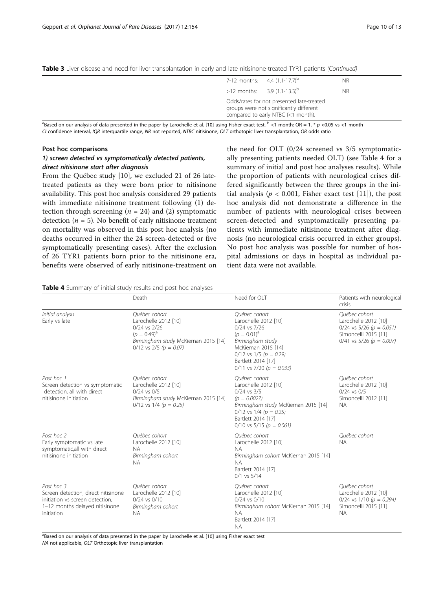<span id="page-9-0"></span>

| Table 3 Liver disease and need for liver transplantation in early and late nitisinone-treated TYR1 patients (Continued) |  |  |
|-------------------------------------------------------------------------------------------------------------------------|--|--|
|-------------------------------------------------------------------------------------------------------------------------|--|--|

| 7-12 months: $4.4$ (1.1-17.7) <sup>b</sup>                                                                                 | <b>NR</b> |
|----------------------------------------------------------------------------------------------------------------------------|-----------|
| >12 months: $3.9 (1.1-13.3)^b$                                                                                             | <b>NR</b> |
| Odds/rates for not presented late-treated<br>groups were not significantly different<br>compared to early NTBC (<1 month). |           |

<sup>a</sup>Based on our analysis of data presented in the paper by Larochelle et al. [10] using Fisher exact test.  $^{\rm b}$  < 1 month: OR = 1. \* p <0.05 vs <1 month CI confidence interval, IQR interquartile range, NR not reported, NTBC nitisinone, OLT orthotopic liver transplantation, OR odds ratio

# Post hoc comparisons

# 1) screen detected vs symptomatically detected patients, direct nitisinone start after diagnosis

From the Québec study [[10\]](#page-12-0), we excluded 21 of 26 latetreated patients as they were born prior to nitisinone availability. This post hoc analysis considered 29 patients with immediate nitisinone treatment following (1) detection through screening ( $n = 24$ ) and (2) symptomatic detection ( $n = 5$ ). No benefit of early nitisinone treatment on mortality was observed in this post hoc analysis (no deaths occurred in either the 24 screen-detected or five symptomatically presenting cases). After the exclusion of 26 TYR1 patients born prior to the nitisinone era, benefits were observed of early nitisinone-treatment on

the need for OLT (0/24 screened vs 3/5 symptomatically presenting patients needed OLT) (see Table 4 for a summary of initial and post hoc analyses results). While the proportion of patients with neurological crises differed significantly between the three groups in the initial analysis ( $p < 0.001$ , Fisher exact test [[11\]](#page-12-0)), the post hoc analysis did not demonstrate a difference in the number of patients with neurological crises between screen-detected and symptomatically presenting patients with immediate nitisinone treatment after diagnosis (no neurological crisis occurred in either groups). No post hoc analysis was possible for number of hospital admissions or days in hospital as individual patient data were not available.

# Table 4 Summary of initial study results and post hoc analyses

|                                                                                                                                      | Death                                                                                                                                             | Need for OLT                                                                                                                                                                                                     | Patients with neurological<br>crisis                                                                                              |
|--------------------------------------------------------------------------------------------------------------------------------------|---------------------------------------------------------------------------------------------------------------------------------------------------|------------------------------------------------------------------------------------------------------------------------------------------------------------------------------------------------------------------|-----------------------------------------------------------------------------------------------------------------------------------|
| Initial analysis<br>Early vs late                                                                                                    | Ouébec cohort<br>Larochelle 2012 [10]<br>0/24 vs 2/26<br>$(p = 0.49)^a$<br>Birmingham study McKiernan 2015 [14]<br>$0/12$ vs $2/5$ ( $p = 0.07$ ) | Ouébec cohort<br>Larochelle 2012 [10]<br>$0/24$ vs $7/26$<br>$(p = 0.01)^a$<br>Birmingham study<br>McKiernan 2015 [14]<br>$0/12$ vs $1/5$ ( $p = 0.29$ )<br>Bartlett 2014 [17]<br>$0/11$ vs 7/20 ( $p = 0.033$ ) | Ouébec cohort<br>Larochelle 2012 [10]<br>$0/24$ vs 5/26 ( $p = 0.051$ )<br>Simoncelli 2015 [11]<br>$0/41$ vs 5/26 ( $p = 0.007$ ) |
| Post hoc 1<br>Screen detection vs symptomatic<br>detection, all with direct<br>nitisinone initiation                                 | Ouébec cohort<br>Larochelle 2012 [10]<br>$0/24$ vs $0/5$<br>Birmingham study McKiernan 2015 [14]<br>$0/12$ vs $1/4$ ( $p = 0.25$ )                | Ouébec cohort<br>Larochelle 2012 [10]<br>$0/24$ vs $3/5$<br>$(p = 0.0027)$<br>Birmingham study McKiernan 2015 [14]<br>$0/12$ vs $1/4$ ( $p = 0.25$ )<br>Bartlett 2014 [17]<br>$0/10$ vs 5/15 ( $p = 0.061$ )     | Ouébec cohort<br>Larochelle 2012 [10]<br>$0/24$ vs $0/5$<br>Simoncelli 2012 [11]<br><b>NA</b>                                     |
| Post hoc 2<br>Early symptomatic vs late<br>symptomatic, all with direct<br>nitisinone initiation                                     | Ouébec cohort<br>Larochelle 2012 [10]<br><b>NA</b><br>Birmingham cohort<br><b>NA</b>                                                              | Ouébec cohort<br>Larochelle 2012 [10]<br><b>NA</b><br>Birmingham cohort McKiernan 2015 [14]<br><b>NA</b><br>Bartlett 2014 [17]<br>$0/1$ vs $5/14$                                                                | Ouébec cohort<br><b>NA</b>                                                                                                        |
| Post hoc 3<br>Screen detection, direct nitisinone<br>initiation vs screen detection,<br>1-12 months delayed nitisinone<br>initiation | Ouébec cohort<br>Larochelle 2012 [10]<br>$0/24$ vs $0/10$<br>Birmingham cohort<br><b>NA</b>                                                       | Ouébec cohort<br>Larochelle 2012 [10]<br>$0/24$ vs $0/10$<br>Birmingham cohort McKiernan 2015 [14]<br><b>NA</b><br>Bartlett 2014 [17]<br><b>NA</b>                                                               | Ouébec cohort<br>Larochelle 2012 [10]<br>0/24 vs $1/10$ ( $p = 0.294$ )<br>Simoncelli 2015 [11]<br><b>NA</b>                      |

<sup>a</sup>Based on our analysis of data presented in the paper by Larochelle et al. [[10](#page-12-0)] using Fisher exact test NA not applicable, OLT Orthotopic liver transplantation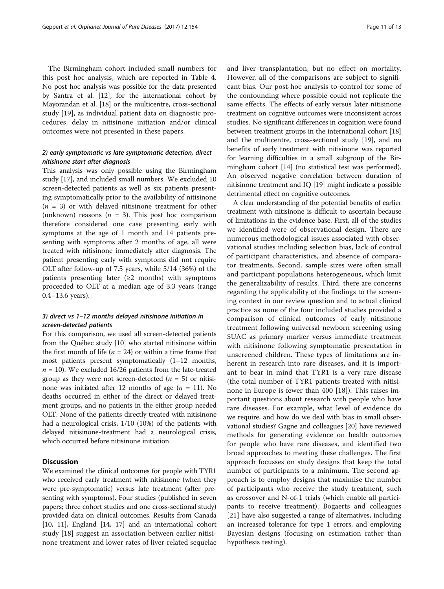The Birmingham cohort included small numbers for this post hoc analysis, which are reported in Table [4](#page-9-0). No post hoc analysis was possible for the data presented by Santra et al. [\[12\]](#page-12-0), for the international cohort by Mayorandan et al. [\[18\]](#page-12-0) or the multicentre, cross-sectional study [\[19\]](#page-12-0), as individual patient data on diagnostic procedures, delay in nitisinone initiation and/or clinical outcomes were not presented in these papers.

# 2) early symptomatic vs late symptomatic detection, direct nitisinone start after diagnosis

This analysis was only possible using the Birmingham study [[17\]](#page-12-0), and included small numbers. We excluded 10 screen-detected patients as well as six patients presenting symptomatically prior to the availability of nitisinone  $(n = 3)$  or with delayed nitisinone treatment for other (unknown) reasons ( $n = 3$ ). This post hoc comparison therefore considered one case presenting early with symptoms at the age of 1 month and 14 patients presenting with symptoms after 2 months of age, all were treated with nitisinone immediately after diagnosis. The patient presenting early with symptoms did not require OLT after follow-up of 7.5 years, while 5/14 (36%) of the patients presenting later  $(≥2$  months) with symptoms proceeded to OLT at a median age of 3.3 years (range 0.4–13.6 years).

# 3) direct vs 1–12 months delayed nitisinone initiation in screen-detected patients

For this comparison, we used all screen-detected patients from the Québec study [\[10](#page-12-0)] who started nitisinone within the first month of life ( $n = 24$ ) or within a time frame that most patients present symptomatically (1–12 months,  $n = 10$ ). We excluded 16/26 patients from the late-treated group as they were not screen-detected ( $n = 5$ ) or nitisinone was initiated after 12 months of age ( $n = 11$ ). No deaths occurred in either of the direct or delayed treatment groups, and no patients in the either group needed OLT. None of the patients directly treated with nitisinone had a neurological crisis, 1/10 (10%) of the patients with delayed nitisinone-treatment had a neurological crisis, which occurred before nitisinone initiation.

# **Discussion**

We examined the clinical outcomes for people with TYR1 who received early treatment with nitisinone (when they were pre-symptomatic) versus late treatment (after presenting with symptoms). Four studies (published in seven papers; three cohort studies and one cross-sectional study) provided data on clinical outcomes. Results from Canada [[10](#page-12-0), [11](#page-12-0)], England [[14](#page-12-0), [17](#page-12-0)] and an international cohort study [[18\]](#page-12-0) suggest an association between earlier nitisinone treatment and lower rates of liver-related sequelae and liver transplantation, but no effect on mortality. However, all of the comparisons are subject to significant bias. Our post-hoc analysis to control for some of the confounding where possible could not replicate the same effects. The effects of early versus later nitisinone treatment on cognitive outcomes were inconsistent across studies. No significant differences in cognition were found between treatment groups in the international cohort [[18](#page-12-0)] and the multicentre, cross-sectional study [[19](#page-12-0)], and no benefits of early treatment with nitisinone was reported for learning difficulties in a small subgroup of the Birmingham cohort [[14\]](#page-12-0) (no statistical test was performed). An observed negative correlation between duration of nitisinone treatment and IQ [\[19](#page-12-0)] might indicate a possible detrimental effect on cognitive outcomes.

A clear understanding of the potential benefits of earlier treatment with nitisinone is difficult to ascertain because of limitations in the evidence base. First, all of the studies we identified were of observational design. There are numerous methodological issues associated with observational studies including selection bias, lack of control of participant characteristics, and absence of comparator treatments. Second, sample sizes were often small and participant populations heterogeneous, which limit the generalizability of results. Third, there are concerns regarding the applicability of the findings to the screening context in our review question and to actual clinical practice as none of the four included studies provided a comparison of clinical outcomes of early nitisinone treatment following universal newborn screening using SUAC as primary marker versus immediate treatment with nitisinone following symptomatic presentation in unscreened children. These types of limitations are inherent in research into rare diseases, and it is important to bear in mind that TYR1 is a very rare disease (the total number of TYR1 patients treated with nitisinone in Europe is fewer than 400 [\[18](#page-12-0)]). This raises important questions about research with people who have rare diseases. For example, what level of evidence do we require, and how do we deal with bias in small observational studies? Gagne and colleagues [\[20\]](#page-12-0) have reviewed methods for generating evidence on health outcomes for people who have rare diseases, and identified two broad approaches to meeting these challenges. The first approach focusses on study designs that keep the total number of participants to a minimum. The second approach is to employ designs that maximise the number of participants who receive the study treatment, such as crossover and N-of-1 trials (which enable all participants to receive treatment). Bogaerts and colleagues [[21\]](#page-12-0) have also suggested a range of alternatives, including an increased tolerance for type 1 errors, and employing Bayesian designs (focusing on estimation rather than hypothesis testing).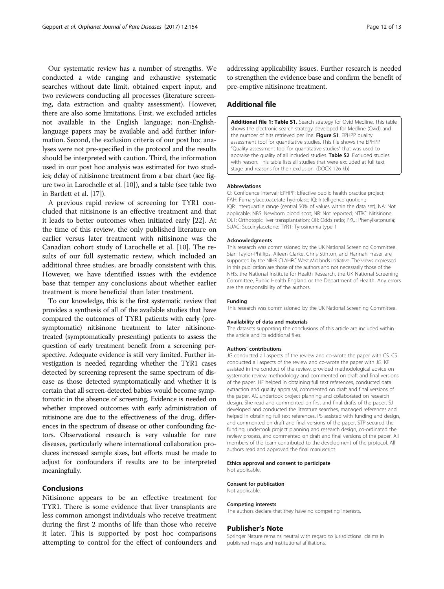<span id="page-11-0"></span>Our systematic review has a number of strengths. We conducted a wide ranging and exhaustive systematic searches without date limit, obtained expert input, and two reviewers conducting all processes (literature screening, data extraction and quality assessment). However, there are also some limitations. First, we excluded articles not available in the English language; non-Englishlanguage papers may be available and add further information. Second, the exclusion criteria of our post hoc analyses were not pre-specified in the protocol and the results should be interpreted with caution. Third, the information used in our post hoc analysis was estimated for two studies; delay of nitisinone treatment from a bar chart (see figure two in Larochelle et al. [\[10\]](#page-12-0)), and a table (see table two in Bartlett et al. [\[17\]](#page-12-0)).

A previous rapid review of screening for TYR1 concluded that nitisinone is an effective treatment and that it leads to better outcomes when initiated early [[22](#page-12-0)]. At the time of this review, the only published literature on earlier versus later treatment with nitisinone was the Canadian cohort study of Larochelle et al. [\[10\]](#page-12-0). The results of our full systematic review, which included an additional three studies, are broadly consistent with this. However, we have identified issues with the evidence base that temper any conclusions about whether earlier treatment is more beneficial than later treatment.

To our knowledge, this is the first systematic review that provides a synthesis of all of the available studies that have compared the outcomes of TYR1 patients with early (presymptomatic) nitisinone treatment to later nitisinonetreated (symptomatically presenting) patients to assess the question of early treatment benefit from a screening perspective. Adequate evidence is still very limited. Further investigation is needed regarding whether the TYR1 cases detected by screening represent the same spectrum of disease as those detected symptomatically and whether it is certain that all screen-detected babies would become symptomatic in the absence of screening. Evidence is needed on whether improved outcomes with early administration of nitisinone are due to the effectiveness of the drug, differences in the spectrum of disease or other confounding factors. Observational research is very valuable for rare diseases, particularly where international collaboration produces increased sample sizes, but efforts must be made to adjust for confounders if results are to be interpreted meaningfully.

# Conclusions

Nitisinone appears to be an effective treatment for TYR1. There is some evidence that liver transplants are less common amongst individuals who receive treatment during the first 2 months of life than those who receive it later. This is supported by post hoc comparisons attempting to control for the effect of confounders and addressing applicability issues. Further research is needed to strengthen the evidence base and confirm the benefit of pre-emptive nitisinone treatment.

# Additional file

[Additional file 1: Table S1.](dx.doi.org/10.1186/s13023-017-0696-z) Search strategy for Ovid Medline. This table shows the electronic search strategy developed for Medline (Ovid) and the number of hits retrieved per line. Figure S1. EPHPP quality assessment tool for quantitative studies. This file shows the EPHPP "Quality assessment tool for quantitative studies" that was used to appraise the quality of all included studies. Table S2. Excluded studies with reason. This table lists all studies that were excluded at full text stage and reasons for their exclusion. (DOCX 126 kb)

#### Abbreviations

CI: Confidence interval; EPHPP: Effective public health practice project; FAH: Fumarylacetoacetate hydrolase; IQ: Intelligence quotient; IQR: Interquartile range (central 50% of values within the data set); NA: Not applicable; NBS: Newborn blood spot; NR: Not reported; NTBC: Nitisinone; OLT: Orthotopic liver transplantation; OR: Odds ratio; PKU: Phenylketonuria; SUAC: Succinylacetone; TYR1: Tyrosinemia type 1

#### Acknowledgments

This research was commissioned by the UK National Screening Committee. Sian Taylor-Phillips, Aileen Clarke, Chris Stinton, and Hannah Fraser are supported by the NIHR CLAHRC West Midlands initiative. The views expressed in this publication are those of the authors and not necessarily those of the NHS, the National Institute for Health Research, the UK National Screening Committee, Public Health England or the Department of Health. Any errors are the responsibility of the authors.

#### Funding

This research was commissioned by the UK National Screening Committee.

#### Availability of data and materials

The datasets supporting the conclusions of this article are included within the article and its additional files.

#### Authors' contributions

JG conducted all aspects of the review and co-wrote the paper with CS. CS conducted all aspects of the review and co-wrote the paper with JG. KF assisted in the conduct of the review, provided methodological advice on systematic review methodology and commented on draft and final versions of the paper. HF helped in obtaining full text references, conducted data extraction and quality appraisal, commented on draft and final versions of the paper. AC undertook project planning and collaborated on research design. She read and commented on first and final drafts of the paper. SJ developed and conducted the literature searches, managed references and helped in obtaining full text references. PS assisted with funding and design, and commented on draft and final versions of the paper. STP secured the funding, undertook project planning and research design, co-ordinated the review process, and commented on draft and final versions of the paper. All members of the team contributed to the development of the protocol. All authors read and approved the final manuscript.

#### Ethics approval and consent to participate

Not applicable.

#### Consent for publication

Not applicable.

#### Competing interests

The authors declare that they have no competing interests.

#### Publisher's Note

Springer Nature remains neutral with regard to jurisdictional claims in published maps and institutional affiliations.